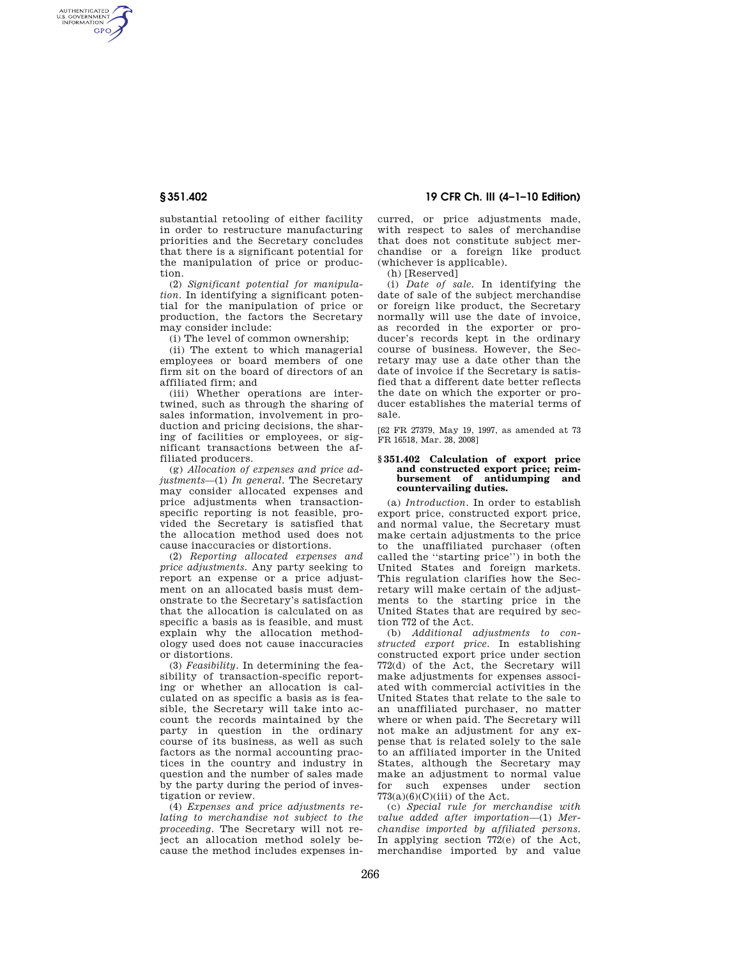AUTHENTICATED<br>U.S. GOVERNMENT<br>INFORMATION **GPO** 

> substantial retooling of either facility in order to restructure manufacturing priorities and the Secretary concludes that there is a significant potential for the manipulation of price or production.

> (2) *Significant potential for manipulation.* In identifying a significant potential for the manipulation of price or production, the factors the Secretary may consider include:

(i) The level of common ownership;

(ii) The extent to which managerial employees or board members of one firm sit on the board of directors of an affiliated firm; and

(iii) Whether operations are intertwined, such as through the sharing of sales information, involvement in production and pricing decisions, the sharing of facilities or employees, or significant transactions between the affiliated producers.

(g) *Allocation of expenses and price adjustments*—(1) *In general.* The Secretary may consider allocated expenses and price adjustments when transactionspecific reporting is not feasible, provided the Secretary is satisfied that the allocation method used does not cause inaccuracies or distortions.

(2) *Reporting allocated expenses and price adjustments.* Any party seeking to report an expense or a price adjustment on an allocated basis must demonstrate to the Secretary's satisfaction that the allocation is calculated on as specific a basis as is feasible, and must explain why the allocation methodology used does not cause inaccuracies or distortions.

(3) *Feasibility.* In determining the feasibility of transaction-specific reporting or whether an allocation is calculated on as specific a basis as is feasible, the Secretary will take into account the records maintained by the party in question in the ordinary course of its business, as well as such factors as the normal accounting practices in the country and industry in question and the number of sales made by the party during the period of investigation or review.

(4) *Expenses and price adjustments relating to merchandise not subject to the proceeding.* The Secretary will not reject an allocation method solely because the method includes expenses in-

**§ 351.402 19 CFR Ch. III (4–1–10 Edition)** 

curred, or price adjustments made, with respect to sales of merchandise that does not constitute subject merchandise or a foreign like product (whichever is applicable).

(h) [Reserved]

(i) *Date of sale.* In identifying the date of sale of the subject merchandise or foreign like product, the Secretary normally will use the date of invoice, as recorded in the exporter or producer's records kept in the ordinary course of business. However, the Secretary may use a date other than the date of invoice if the Secretary is satisfied that a different date better reflects the date on which the exporter or producer establishes the material terms of sale.

[62 FR 27379, May 19, 1997, as amended at 73 FR 16518, Mar. 28, 2008]

#### **§ 351.402 Calculation of export price and constructed export price; reimbursement of antidumping and countervailing duties.**

(a) *Introduction.* In order to establish export price, constructed export price, and normal value, the Secretary must make certain adjustments to the price to the unaffiliated purchaser (often called the ''starting price'') in both the United States and foreign markets. This regulation clarifies how the Secretary will make certain of the adjustments to the starting price in the United States that are required by section 772 of the Act.

(b) *Additional adjustments to constructed export price.* In establishing constructed export price under section 772(d) of the Act, the Secretary will make adjustments for expenses associated with commercial activities in the United States that relate to the sale to an unaffiliated purchaser, no matter where or when paid. The Secretary will not make an adjustment for any expense that is related solely to the sale to an affiliated importer in the United States, although the Secretary may make an adjustment to normal value<br>for such expenses under section for such expenses  $773(a)(6)(C)(iii)$  of the Act.

(c) *Special rule for merchandise with value added after importation*—(1) *Merchandise imported by affiliated persons.*  In applying section 772(e) of the Act, merchandise imported by and value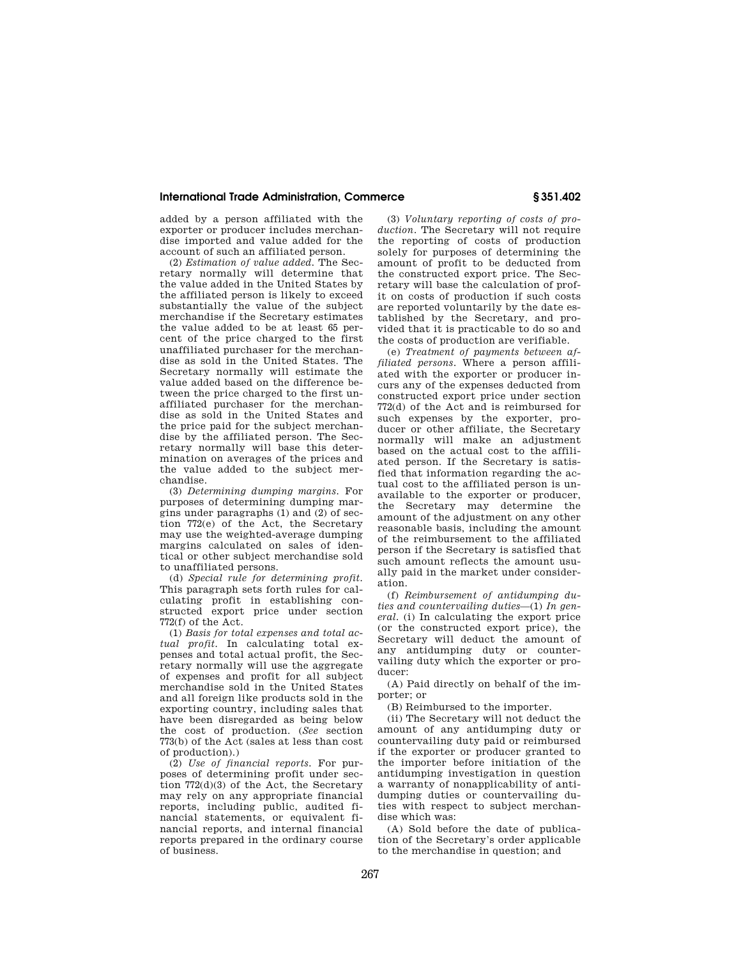## **International Trade Administration, Commerce § 351.402**

added by a person affiliated with the exporter or producer includes merchandise imported and value added for the account of such an affiliated person.

(2) *Estimation of value added.* The Secretary normally will determine that the value added in the United States by the affiliated person is likely to exceed substantially the value of the subject merchandise if the Secretary estimates the value added to be at least 65 percent of the price charged to the first unaffiliated purchaser for the merchandise as sold in the United States. The Secretary normally will estimate the value added based on the difference between the price charged to the first unaffiliated purchaser for the merchandise as sold in the United States and the price paid for the subject merchandise by the affiliated person. The Secretary normally will base this determination on averages of the prices and the value added to the subject merchandise.

(3) *Determining dumping margins.* For purposes of determining dumping margins under paragraphs (1) and (2) of section 772(e) of the Act, the Secretary may use the weighted-average dumping margins calculated on sales of identical or other subject merchandise sold to unaffiliated persons.

(d) *Special rule for determining profit.*  This paragraph sets forth rules for calculating profit in establishing constructed export price under section 772(f) of the Act.

(1) *Basis for total expenses and total actual profit.* In calculating total expenses and total actual profit, the Secretary normally will use the aggregate of expenses and profit for all subject merchandise sold in the United States and all foreign like products sold in the exporting country, including sales that have been disregarded as being below the cost of production. (*See* section 773(b) of the Act (sales at less than cost of production).)

(2) *Use of financial reports.* For purposes of determining profit under section 772(d)(3) of the Act, the Secretary may rely on any appropriate financial reports, including public, audited financial statements, or equivalent financial reports, and internal financial reports prepared in the ordinary course of business.

(3) *Voluntary reporting of costs of production.* The Secretary will not require the reporting of costs of production solely for purposes of determining the amount of profit to be deducted from the constructed export price. The Secretary will base the calculation of profit on costs of production if such costs are reported voluntarily by the date established by the Secretary, and provided that it is practicable to do so and the costs of production are verifiable.

(e) *Treatment of payments between affiliated persons.* Where a person affiliated with the exporter or producer incurs any of the expenses deducted from constructed export price under section 772(d) of the Act and is reimbursed for such expenses by the exporter, producer or other affiliate, the Secretary normally will make an adjustment based on the actual cost to the affiliated person. If the Secretary is satisfied that information regarding the actual cost to the affiliated person is unavailable to the exporter or producer, the Secretary may determine the amount of the adjustment on any other reasonable basis, including the amount of the reimbursement to the affiliated person if the Secretary is satisfied that such amount reflects the amount usually paid in the market under consideration.

(f) *Reimbursement of antidumping duties and countervailing duties*—(1) *In general.* (i) In calculating the export price (or the constructed export price), the Secretary will deduct the amount of any antidumping duty or countervailing duty which the exporter or producer:

(A) Paid directly on behalf of the importer; or

(B) Reimbursed to the importer.

(ii) The Secretary will not deduct the amount of any antidumping duty or countervailing duty paid or reimbursed if the exporter or producer granted to the importer before initiation of the antidumping investigation in question a warranty of nonapplicability of antidumping duties or countervailing duties with respect to subject merchandise which was:

(A) Sold before the date of publication of the Secretary's order applicable to the merchandise in question; and